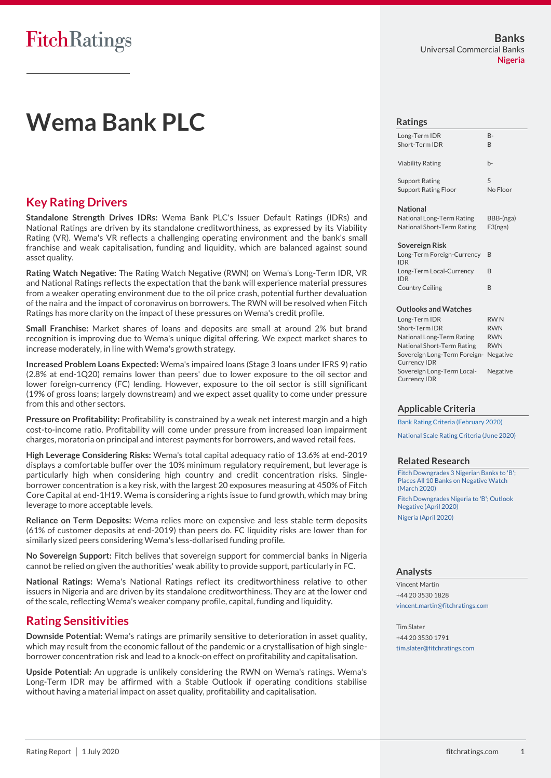## **FitchRatings**

### **Banks** Universal Commercial Banks **Nigeria**

# **Wema Bank PLC**

## **Key Rating Drivers**

**Standalone Strength Drives IDRs:** Wema Bank PLC's Issuer Default Ratings (IDRs) and National Ratings are driven by its standalone creditworthiness, as expressed by its Viability Rating (VR). Wema's VR reflects a challenging operating environment and the bank's small franchise and weak capitalisation, funding and liquidity, which are balanced against sound asset quality.

**Rating Watch Negative:** The Rating Watch Negative (RWN) on Wema's Long-Term IDR, VR and National Ratings reflects the expectation that the bank will experience material pressures from a weaker operating environment due to the oil price crash, potential further devaluation of the naira and the impact of coronavirus on borrowers. The RWN will be resolved when Fitch Ratings has more clarity on the impact of these pressures on Wema's credit profile.

**Small Franchise:** Market shares of loans and deposits are small at around 2% but brand recognition is improving due to Wema's unique digital offering. We expect market shares to increase moderately, in line with Wema's growth strategy.

**Increased Problem Loans Expected:** Wema's impaired loans (Stage 3 loans under IFRS 9) ratio (2.8% at end-1Q20) remains lower than peers' due to lower exposure to the oil sector and lower foreign-currency (FC) lending. However, exposure to the oil sector is still significant (19% of gross loans; largely downstream) and we expect asset quality to come under pressure from this and other sectors.

**Pressure on Profitability:** Profitability is constrained by a weak net interest margin and a high cost-to-income ratio. Profitability will come under pressure from increased loan impairment charges, moratoria on principal and interest payments for borrowers, and waved retail fees.

**High Leverage Considering Risks:** Wema's total capital adequacy ratio of 13.6% at end-2019 displays a comfortable buffer over the 10% minimum regulatory requirement, but leverage is particularly high when considering high country and credit concentration risks. Singleborrower concentration is a key risk, with the largest 20 exposures measuring at 450% of Fitch Core Capital at end-1H19. Wema is considering a rights issue to fund growth, which may bring leverage to more acceptable levels.

**Reliance on Term Deposits:** Wema relies more on expensive and less stable term deposits (61% of customer deposits at end-2019) than peers do. FC liquidity risks are lower than for similarly sized peers considering Wema's less-dollarised funding profile.

**No Sovereign Support:** Fitch belives that sovereign support for commercial banks in Nigeria cannot be relied on given the authorities' weak ability to provide support, particularly in FC.

**National Ratings:** Wema's National Ratings reflect its creditworthiness relative to other issuers in Nigeria and are driven by its standalone creditworthiness. They are at the lower end of the scale, reflecting Wema's weaker company profile, capital, funding and liquidity.

## **Rating Sensitivities**

**Downside Potential:** Wema's ratings are primarily sensitive to deterioration in asset quality, which may result from the economic fallout of the pandemic or a crystallisation of high singleborrower concentration risk and lead to a knock-on effect on profitability and capitalisation.

**Upside Potential:** An upgrade is unlikely considering the RWN on Wema's ratings. Wema's Long-Term IDR may be affirmed with a Stable Outlook if operating conditions stabilise without having a material impact on asset quality, profitability and capitalisation.

#### **Ratings**

| Long-Term IDR               | <b>B-</b> |
|-----------------------------|-----------|
| Short-Term IDR              | R         |
| <b>Viability Rating</b>     | h-        |
| <b>Support Rating</b>       | 5         |
| <b>Support Rating Floor</b> | No Floor  |
| <b>National</b>             |           |

National Long-Term Rating BBB-(nga) National Short-Term Rating F3(nga)

#### **Sovereign Risk**

| Long-Term Foreign-Currency<br><b>IDR</b> | B |  |
|------------------------------------------|---|--|
| Long-Term Local-Currency<br><b>IDR</b>   | R |  |
| <b>Country Ceiling</b>                   | R |  |

#### **Outlooks and Watches**

| Long-Term IDR                                     | <b>RWN</b> |
|---------------------------------------------------|------------|
| Short-Term IDR                                    | <b>RWN</b> |
| National Long-Term Rating                         | <b>RWN</b> |
| National Short-Term Rating                        | <b>RWN</b> |
| Sovereign Long-Term Foreign- Negative             |            |
| <b>Currency IDR</b>                               |            |
| Sovereign Long-Term Local-<br><b>Currency IDR</b> | Negative   |

### **Applicable Criteria**

[Bank Rating Criteria \(February 2020\)](https://www.fitchratings.com/site/re/10110041)

[National Scale Rating Criteria \(June 2020\)](https://www.fitchratings.com/site/re/10121358)

### **Related Research**

[Fitch Downgrades 3 Nigerian Banks to 'B';](https://www.fitchratings.com/site/pr/10115774)  Places All 10 Banks on Negative Watch [\(March 2020\)](https://www.fitchratings.com/site/pr/10115774) [Fitch Downgrades Nigeria to 'B'; Outlook](https://www.fitchratings.com/site/pr/10117105)  [Negative \(April 2020\)](https://www.fitchratings.com/site/pr/10117105) [Nigeria \(April 2020\)](https://www.fitchratings.com/site/re/10118309)

### **Analysts**

Vincent Martin +44 20 3530 1828 [vincent.martin@fitchratings.com](mailto:vincent.martin@fitchratings.com)

Tim Slater +44 20 3530 1791 [tim.slater@fitchratings.com](mailto:tim.slater@fitchratings.com)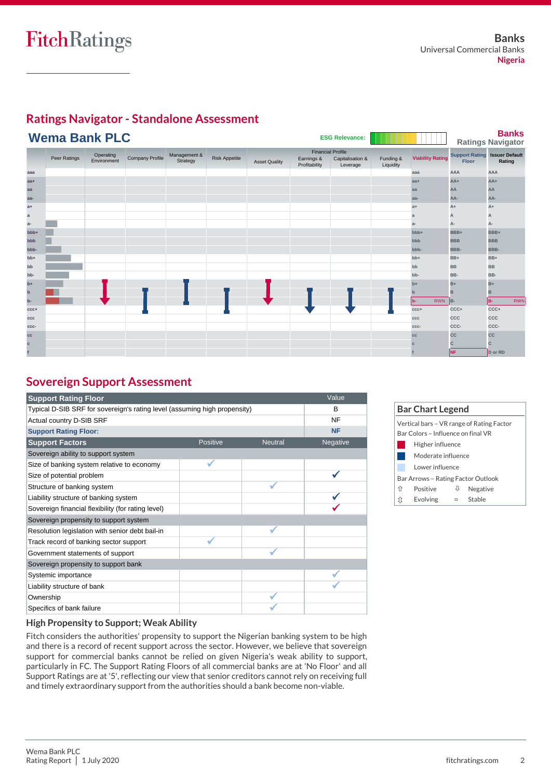## FitchRatings



# **Ratings Navigator - Standalone Assessment**

## **Sovereign Support Assessment**

| <b>Support Rating Floor</b>                                               |          |                | Value     |
|---------------------------------------------------------------------------|----------|----------------|-----------|
| Typical D-SIB SRF for sovereign's rating level (assuming high propensity) | B        |                |           |
| Actual country D-SIB SRF                                                  |          |                | <b>NF</b> |
| <b>Support Rating Floor:</b>                                              |          |                | <b>NF</b> |
| <b>Support Factors</b>                                                    | Positive | <b>Neutral</b> | Negative  |
| Sovereign ability to support system                                       |          |                |           |
| Size of banking system relative to economy                                |          |                |           |
| Size of potential problem                                                 |          |                |           |
| Structure of banking system                                               |          |                |           |
| Liability structure of banking system                                     |          |                |           |
| Sovereign financial flexibility (for rating level)                        |          |                |           |
| Sovereign propensity to support system                                    |          |                |           |
| Resolution legislation with senior debt bail-in                           |          |                |           |
| Track record of banking sector support                                    |          |                |           |
| Government statements of support                                          |          |                |           |
| Sovereign propensity to support bank                                      |          |                |           |
| Systemic importance                                                       |          |                |           |
| Liability structure of bank                                               |          |                |           |
| Ownership                                                                 |          |                |           |
| Specifics of bank failure                                                 |          |                |           |

| <b>Bar Chart Legend</b>            |                                    |   |                                           |  |  |
|------------------------------------|------------------------------------|---|-------------------------------------------|--|--|
|                                    |                                    |   | Vertical bars - VR range of Rating Factor |  |  |
| Bar Colors - Influence on final VR |                                    |   |                                           |  |  |
|                                    | Higher influence                   |   |                                           |  |  |
|                                    | Moderate influence                 |   |                                           |  |  |
|                                    | Lower influence                    |   |                                           |  |  |
|                                    | Bar Arrows - Rating Factor Outlook |   |                                           |  |  |
| ⇑                                  | Positive                           | ₩ | Negative                                  |  |  |
| ît                                 | Evolving                           | ▭ | Stable                                    |  |  |

### **High Propensity to Support; Weak Ability**

Fitch considers the authorities' propensity to support the Nigerian banking system to be high and there is a record of recent support across the sector. However, we believe that sovereign support for commercial banks cannot be relied on given Nigeria's weak ability to support, particularly in FC. The Support Rating Floors of all commercial banks are at 'No Floor' and all Support Ratings are at '5', reflecting our view that senior creditors cannot rely on receiving full and timely extraordinary support from the authorities should a bank become non-viable.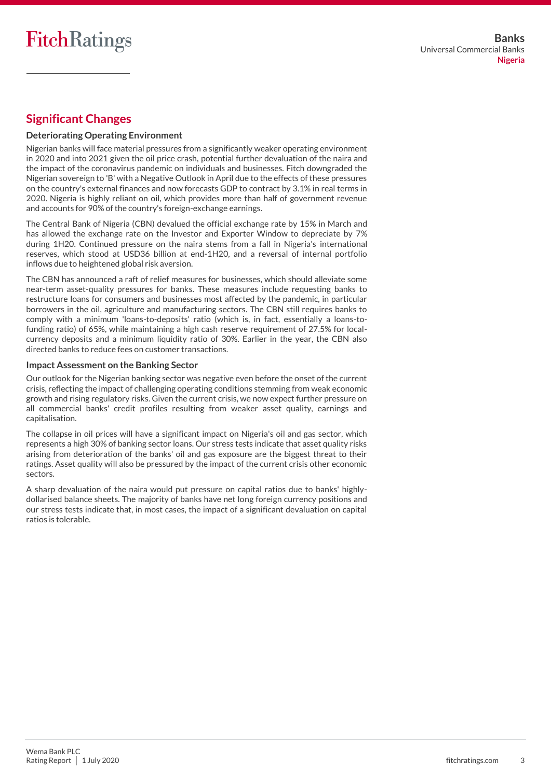## **Significant Changes**

### **Deteriorating Operating Environment**

Nigerian banks will face material pressures from a significantly weaker operating environment in 2020 and into 2021 given the oil price crash, potential further devaluation of the naira and the impact of the coronavirus pandemic on individuals and businesses. Fitch downgraded the Nigerian sovereign to 'B' with a Negative Outlook in April due to the effects of these pressures on the country's external finances and now forecasts GDP to contract by 3.1% in real terms in 2020. Nigeria is highly reliant on oil, which provides more than half of government revenue and accounts for 90% of the country's foreign-exchange earnings.

The Central Bank of Nigeria (CBN) devalued the official exchange rate by 15% in March and has allowed the exchange rate on the Investor and Exporter Window to depreciate by 7% during 1H20. Continued pressure on the naira stems from a fall in Nigeria's international reserves, which stood at USD36 billion at end-1H20, and a reversal of internal portfolio inflows due to heightened global risk aversion.

The CBN has announced a raft of relief measures for businesses, which should alleviate some near-term asset-quality pressures for banks. These measures include requesting banks to restructure loans for consumers and businesses most affected by the pandemic, in particular borrowers in the oil, agriculture and manufacturing sectors. The CBN still requires banks to comply with a minimum 'loans-to-deposits' ratio (which is, in fact, essentially a loans-tofunding ratio) of 65%, while maintaining a high cash reserve requirement of 27.5% for localcurrency deposits and a minimum liquidity ratio of 30%. Earlier in the year, the CBN also directed banks to reduce fees on customer transactions.

### **Impact Assessment on the Banking Sector**

Our outlook for the Nigerian banking sector was negative even before the onset of the current crisis, reflecting the impact of challenging operating conditions stemming from weak economic growth and rising regulatory risks. Given the current crisis, we now expect further pressure on all commercial banks' credit profiles resulting from weaker asset quality, earnings and capitalisation.

The collapse in oil prices will have a significant impact on Nigeria's oil and gas sector, which represents a high 30% of banking sector loans. Our stress tests indicate that asset quality risks arising from deterioration of the banks' oil and gas exposure are the biggest threat to their ratings. Asset quality will also be pressured by the impact of the current crisis other economic sectors.

A sharp devaluation of the naira would put pressure on capital ratios due to banks' highlydollarised balance sheets. The majority of banks have net long foreign currency positions and our stress tests indicate that, in most cases, the impact of a significant devaluation on capital ratios is tolerable.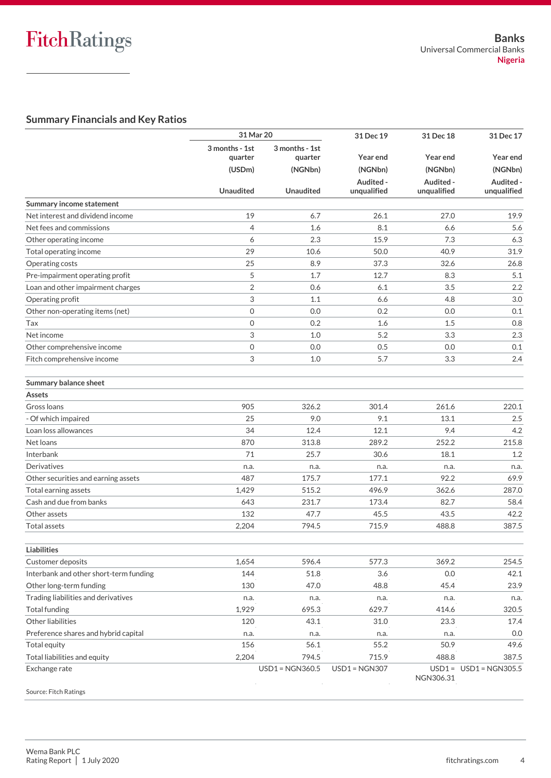## **Summary Financials and Key Ratios**

|                                               | 31 Mar 20                           |                                      | 31 Dec 19                | 31 Dec 18                | 31 Dec 17                         |
|-----------------------------------------------|-------------------------------------|--------------------------------------|--------------------------|--------------------------|-----------------------------------|
|                                               | 3 months - 1st<br>quarter<br>(USDm) | 3 months - 1st<br>quarter<br>(NGNbn) | Year end<br>(NGNbn)      | Year end<br>(NGNbn)      | Year end<br>(NGNbn)               |
|                                               | <b>Unaudited</b>                    | <b>Unaudited</b>                     | Audited -<br>unqualified | Audited -<br>unqualified | Audited -<br>unqualified          |
| Summary income statement                      |                                     |                                      |                          |                          |                                   |
| Net interest and dividend income              | 19                                  | 6.7                                  | 26.1                     | 27.0                     | 19.9                              |
| Net fees and commissions                      | $\overline{4}$                      | 1.6                                  | 8.1                      | 6.6                      | 5.6                               |
| Other operating income                        | 6                                   | 2.3                                  | 15.9                     | 7.3                      | 6.3                               |
| Total operating income                        | 29                                  | 10.6                                 | 50.0                     | 40.9                     | 31.9                              |
| Operating costs                               | 25                                  | 8.9                                  | 37.3                     | 32.6                     | 26.8                              |
| Pre-impairment operating profit               | 5                                   | 1.7                                  | 12.7                     | 8.3                      | 5.1                               |
| Loan and other impairment charges             | $\overline{2}$                      | 0.6                                  | 6.1                      | 3.5                      | 2.2                               |
| Operating profit                              | 3                                   | 1.1                                  | 6.6                      | 4.8                      | 3.0                               |
| Other non-operating items (net)               | 0                                   | 0.0                                  | 0.2                      | 0.0                      | 0.1                               |
| Tax                                           | 0                                   | 0.2                                  | 1.6                      | 1.5                      | 0.8                               |
| Net income                                    | 3                                   | 1.0                                  | 5.2                      | 3.3                      | 2.3                               |
| Other comprehensive income                    | 0                                   | 0.0                                  | 0.5                      | 0.0                      | 0.1                               |
| Fitch comprehensive income                    | 3                                   | 1.0                                  | 5.7                      | 3.3                      | 2.4                               |
| <b>Summary balance sheet</b>                  |                                     |                                      |                          |                          |                                   |
| <b>Assets</b>                                 |                                     |                                      |                          |                          |                                   |
| Gross Ioans                                   | 905                                 | 326.2                                | 301.4                    | 261.6                    | 220.1                             |
| - Of which impaired                           | 25                                  | 9.0                                  | 9.1                      | 13.1                     | 2.5                               |
| Loan loss allowances                          | 34                                  | 12.4                                 | 12.1                     | 9.4                      | 4.2                               |
| Net loans                                     | 870                                 | 313.8                                | 289.2                    | 252.2                    | 215.8                             |
| Interbank                                     | 71                                  | 25.7                                 | 30.6                     | 18.1                     | 1.2                               |
| <b>Derivatives</b>                            | n.a.                                | n.a.                                 | n.a.                     | n.a.                     | n.a.                              |
| Other securities and earning assets           | 487                                 | 175.7                                | 177.1                    | 92.2                     | 69.9                              |
| Total earning assets                          | 1,429                               | 515.2                                | 496.9                    | 362.6                    | 287.0                             |
| Cash and due from banks                       | 643                                 | 231.7                                | 173.4                    | 82.7                     | 58.4                              |
| Other assets                                  | 132                                 | 47.7                                 | 45.5                     | 43.5                     | 42.2                              |
| <b>Total assets</b>                           | 2,204                               | 794.5                                | 715.9                    | 488.8                    | 387.5                             |
|                                               |                                     |                                      |                          |                          |                                   |
| <b>Liabilities</b>                            |                                     |                                      |                          |                          |                                   |
| Customer deposits                             | 1,654                               | 596.4                                | 577.3                    | 369.2                    | 254.5                             |
| Interbank and other short-term funding        | 144                                 | 51.8                                 | 3.6                      | 0.0                      | 42.1                              |
| Other long-term funding                       | 130                                 | 47.0                                 | 48.8                     | 45.4                     | 23.9                              |
| Trading liabilities and derivatives           | n.a.                                | n.a.                                 | n.a.                     | n.a.                     | n.a.                              |
| <b>Total funding</b>                          | 1,929                               | 695.3                                | 629.7                    | 414.6                    | 320.5                             |
| Other liabilities                             | 120                                 | 43.1                                 | 31.0                     | 23.3                     | 17.4                              |
| Preference shares and hybrid capital          | n.a.                                | n.a.                                 | n.a.                     | n.a.                     | 0.0                               |
| Total equity                                  | 156                                 | 56.1                                 | 55.2                     | 50.9                     | 49.6                              |
| Total liabilities and equity<br>Exchange rate | 2,204                               | 794.5<br><b>USD1 = NGN360.5</b>      | 715.9<br>$USD1 = NGN307$ | 488.8<br>NGN306.31       | 387.5<br>$USD1 = USD1 = NGN305.5$ |
| Source: Fitch Ratings                         |                                     |                                      |                          |                          |                                   |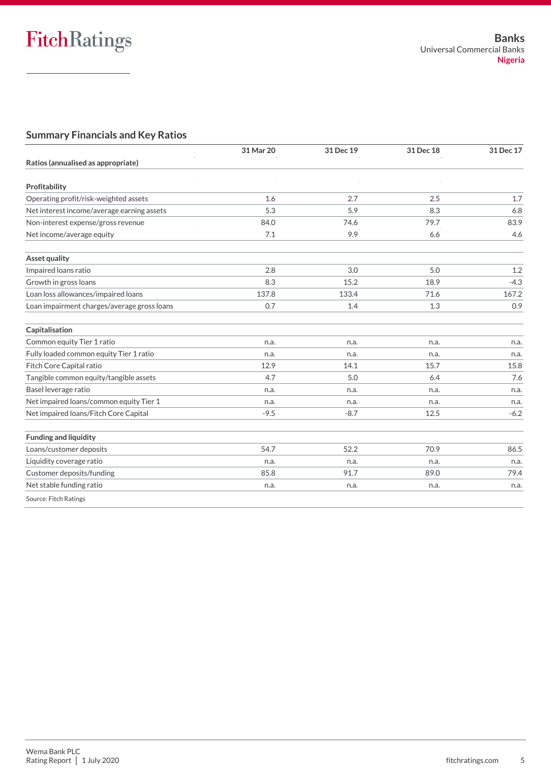## **Summary Financials and Key Ratios**

|                                             | 31 Mar 20 | 31 Dec 19 | 31 Dec 18 | 31 Dec 17 |
|---------------------------------------------|-----------|-----------|-----------|-----------|
| Ratios (annualised as appropriate)          |           |           |           |           |
| Profitability                               |           |           |           |           |
| Operating profit/risk-weighted assets       | 1.6       | 2.7       | 2.5       | 1.7       |
| Net interest income/average earning assets  | 5.3       | 5.9       | 8.3       | 6.8       |
| Non-interest expense/gross revenue          | 84.0      | 74.6      | 79.7      | 83.9      |
| Net income/average equity                   | 7.1       | 9.9       | 6.6       | 4.6       |
| <b>Asset quality</b>                        |           |           |           |           |
| Impaired loans ratio                        | 2.8       | 3.0       | 5.0       | 1.2       |
| Growth in gross loans                       | 8.3       | 15.2      | 18.9      | $-4.3$    |
| Loan loss allowances/impaired loans         | 137.8     | 133.4     | 71.6      | 167.2     |
| Loan impairment charges/average gross loans | 0.7       | 1.4       | 1.3       | 0.9       |
| Capitalisation                              |           |           |           |           |
| Common equity Tier 1 ratio                  | n.a.      | n.a.      | n.a.      | n.a.      |
| Fully loaded common equity Tier 1 ratio     | n.a.      | n.a.      | n.a.      | n.a.      |
| Fitch Core Capital ratio                    | 12.9      | 14.1      | 15.7      | 15.8      |
| Tangible common equity/tangible assets      | 4.7       | 5.0       | 6.4       | 7.6       |
| Basel leverage ratio                        | n.a.      | n.a.      | n.a.      | n.a.      |
| Net impaired loans/common equity Tier 1     | n.a.      | n.a.      | n.a.      | n.a.      |
| Net impaired loans/Fitch Core Capital       | $-9.5$    | $-8.7$    | 12.5      | $-6.2$    |
| <b>Funding and liquidity</b>                |           |           |           |           |
| Loans/customer deposits                     | 54.7      | 52.2      | 70.9      | 86.5      |
| Liquidity coverage ratio                    | n.a.      | n.a.      | n.a.      | n.a.      |
| Customer deposits/funding                   | 85.8      | 91.7      | 89.0      | 79.4      |
| Net stable funding ratio                    | n.a.      | n.a.      | n.a.      | n.a.      |
| Source: Fitch Ratings                       |           |           |           |           |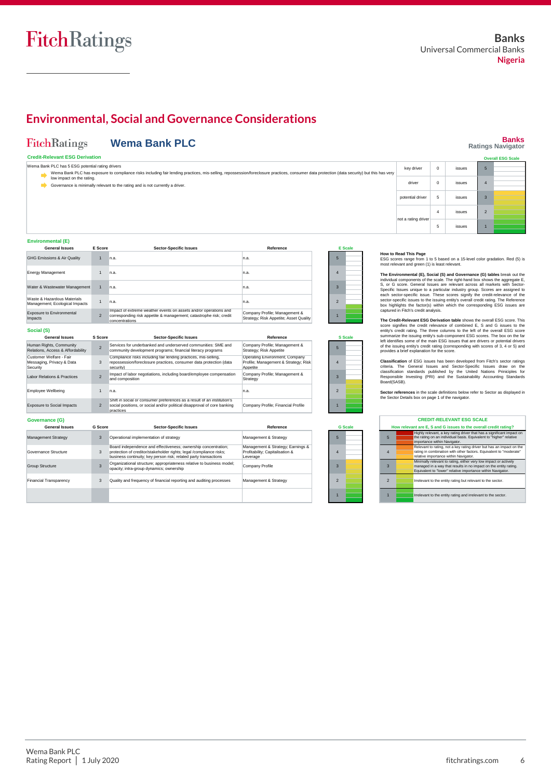## **Environmental, Social and Governance Considerations**

## **Banks Ratings Navigator**

2 1

#### FitchRatings **Wema Bank PLC**

|  |  |  | <b>Credit-Relevant ESG Derivation</b> |  |  |  |
|--|--|--|---------------------------------------|--|--|--|
|  |  |  |                                       |  |  |  |

| <b>Credit-Relevant ESG Derivation</b>                                                                                                                                                                                                            |                  |        | <b>Overall ESG Scale</b> |
|--------------------------------------------------------------------------------------------------------------------------------------------------------------------------------------------------------------------------------------------------|------------------|--------|--------------------------|
| Wema Bank PLC has 5 ESG potential rating drivers<br>Wema Bank PLC has exposure to compliance risks including fair lending practices, mis-selling, repossession/foreclosure practices, consumer data protection (data security) but this has very | key driver       | issues |                          |
| low impact on the rating.<br>Governance is minimally relevant to the rating and is not currently a driver.                                                                                                                                       | driver           | issues |                          |
|                                                                                                                                                                                                                                                  | potential driver | issues |                          |
|                                                                                                                                                                                                                                                  |                  |        |                          |

#### **Environmental (E)**

| <b>General Issues</b>                                         | E Score        | <b>Sector-Specific Issues</b>                                                                                                                            | Reference                                                               |                          | <b>E</b> Scale |
|---------------------------------------------------------------|----------------|----------------------------------------------------------------------------------------------------------------------------------------------------------|-------------------------------------------------------------------------|--------------------------|----------------|
| GHG Emissions & Air Quality                                   |                | n.a.                                                                                                                                                     | In.a.                                                                   | 5                        |                |
| <b>Energy Management</b>                                      |                | n.a.                                                                                                                                                     | In.a.                                                                   | 4                        |                |
| Water & Wastewater Management                                 |                | n.a.                                                                                                                                                     | In.a.                                                                   | 3                        |                |
| Waste & Hazardous Materials<br>Management; Ecological Impacts |                | n.a.                                                                                                                                                     | In.a.                                                                   | $\overline{\mathcal{L}}$ |                |
| Exposure to Environmental<br>Impacts                          | $\overline{2}$ | Impact of extreme weather events on assets and/or operations and<br>corresponding risk appetite & management; catastrophe risk; credit<br>concentrations | Company Profile; Management &<br>Strategy; Risk Appetite; Asset Quality |                          |                |
| Social (S)                                                    |                |                                                                                                                                                          |                                                                         |                          |                |

| <b>General Issues</b>                                            | S Score        | <b>Sector-Specific Issues</b>                                                                                                                                                                             | Reference                                                                          |                | <b>S</b> Scale |
|------------------------------------------------------------------|----------------|-----------------------------------------------------------------------------------------------------------------------------------------------------------------------------------------------------------|------------------------------------------------------------------------------------|----------------|----------------|
| Human Rights, Community<br>Relations, Access & Affordability     | $\overline{2}$ | Services for underbanked and underserved communities: SME and<br>community development programs; financial literacy programs                                                                              | Company Profile; Management &<br>Strategy; Risk Appetite                           | 5              |                |
| Customer Welfare - Fair<br>Messaging, Privacy & Data<br>Security | 3              | Compliance risks including fair lending practices, mis-selling,<br>repossession/foreclosure practices, consumer data protection (data<br>security)                                                        | Operating Environment; Company<br>Profile; Management & Strategy; Risk<br>Appetite | $\Delta$       |                |
| Labor Relations & Practices                                      | $\overline{2}$ | Impact of labor negotiations, including board/employee compensation<br>and composition                                                                                                                    | Company Profile; Management &<br>Strategy                                          | $\mathbf{3}$   |                |
| Employee Wellbeing                                               | $\mathbf{1}$   | n.a.                                                                                                                                                                                                      | n.a.                                                                               | $\mathfrak{p}$ |                |
| <b>Exposure to Social Impacts</b>                                | $\overline{2}$ | Shift in social or consumer preferences as a result of an institution's<br>social positions, or social and/or political disapproval of core banking<br>practices                                          | Company Profile; Financial Profile                                                 |                |                |
| Governance (G)                                                   |                |                                                                                                                                                                                                           |                                                                                    |                |                |
| <b>General Issues</b>                                            | <b>G</b> Score | <b>Sector-Specific Issues</b>                                                                                                                                                                             | Reference                                                                          |                | <b>G</b> Scale |
| <b>Management Strategy</b>                                       | 3              | Operational implementation of strategy                                                                                                                                                                    | Management & Strategy                                                              | 5              |                |
| Governance Structure                                             | 3              | Board independence and effectiveness; ownership concentration;<br>protection of creditor/stakeholder rights; legal /compliance risks;<br>business continuity; key person risk; related party transactions | Management & Strategy; Earnings &<br>Profitability; Capitalisation &<br>Leverage   | Δ              |                |
| <b>Group Structure</b>                                           | 3              | Organizational structure; appropriateness relative to business model;<br>opacity; intra-group dynamics; ownership                                                                                         | Company Profile                                                                    | 3              |                |
| Financial Transparency                                           | 3              | Quality and frequency of financial reporting and auditing processes                                                                                                                                       | Management & Strategy                                                              | $\mathcal{P}$  |                |





|              | The Environmental (E), Social (S) and Governance (G) tables break out the<br>individual components of the scale. The right-hand box shows the aggregate E.<br>S, or G score. General Issues are relevant across all markets with Sector-<br>Specific Issues unique to a particular industry group. Scores are assigned to<br>each sector-specific issue. These scores signify the credit-relevance of the<br>sector-specific issues to the issuing entity's overall credit rating. The Reference<br>box highlights the factor(s) within which the corresponding ESG issues are<br>captured in Fitch's credit analysis. |
|--------------|------------------------------------------------------------------------------------------------------------------------------------------------------------------------------------------------------------------------------------------------------------------------------------------------------------------------------------------------------------------------------------------------------------------------------------------------------------------------------------------------------------------------------------------------------------------------------------------------------------------------|
| <b>Scale</b> | The Credit-Relevant ESG Derivation table shows the overall ESG score. This<br>score signifies the credit relevance of combined E. S and G issues to the<br>entity's credit rating. The three columns to the left of the overall ESG score<br>summarize the issuing entity's sub-component ESG scores. The box on the far<br>left identifies some of the main ESG issues that are drivers or potential drivers<br>of the issuing entity's credit rating (corresponding with scores of 3, 4 or 5) and<br>provides a brief explanation for the score.                                                                     |

| 5              |  |
|----------------|--|
| 4              |  |
| 3              |  |
| $\overline{2}$ |  |
|                |  |

|                | Board(SASB).   | <b>Classification</b> of ESG issues has been developed from Fitch's sector ratings<br>criteria. The General Issues and Sector-Specific Issues draw on the<br>classification standards published by the United Nations Priniciples for<br>Responsible Investing (PRI) and the Sustainability Accounting Standards |
|----------------|----------------|------------------------------------------------------------------------------------------------------------------------------------------------------------------------------------------------------------------------------------------------------------------------------------------------------------------|
|                |                | Sector references in the scale definitions below refer to Sector as displayed in<br>the Sector Details box on page 1 of the navigator.<br><b>CREDIT-RELEVANT ESG SCALE</b>                                                                                                                                       |
| <b>G</b> Scale |                | How relevant are E, S and G issues to the overall credit rating?                                                                                                                                                                                                                                                 |
|                | 5              | Highly relevant, a key rating driver that has a significant impact on<br>the rating on an individual basis. Equivalent to "higher" relative<br>importance within Navigator.                                                                                                                                      |
|                | $\overline{4}$ | Relevant to rating, not a key rating driver but has an impact on the<br>rating in combination with other factors. Equivalent to "moderate"<br>relative importance within Navigator.                                                                                                                              |
|                | $\overline{3}$ | Minimally relevant to rating, either very low impact or actively<br>managed in a way that results in no impact on the entity rating.<br>Equivalent to "lower" relative importance within Navigator.                                                                                                              |

| 4                       | rating in combination with other factors. Equivalent to "moderate<br>relative importance within Navigator.                                                                                          |
|-------------------------|-----------------------------------------------------------------------------------------------------------------------------------------------------------------------------------------------------|
| $\overline{\mathbf{3}}$ | Minimally relevant to rating, either yery low impact or actively<br>managed in a way that results in no impact on the entity rating.<br>Equivalent to "lower" relative importance within Navigator. |
| $\overline{2}$          | Irrelevant to the entity rating but relevant to the sector.                                                                                                                                         |
|                         | Irrelevant to the entity rating and irrelevant to the sector.                                                                                                                                       |

**How to Read This Page**<br>ESG scores range from 1 to 5 based on a 15-level color gradation. Red (5) is most relevant and green (1) is least

4 issues 5 issues

 $\vert$ not a rating drive